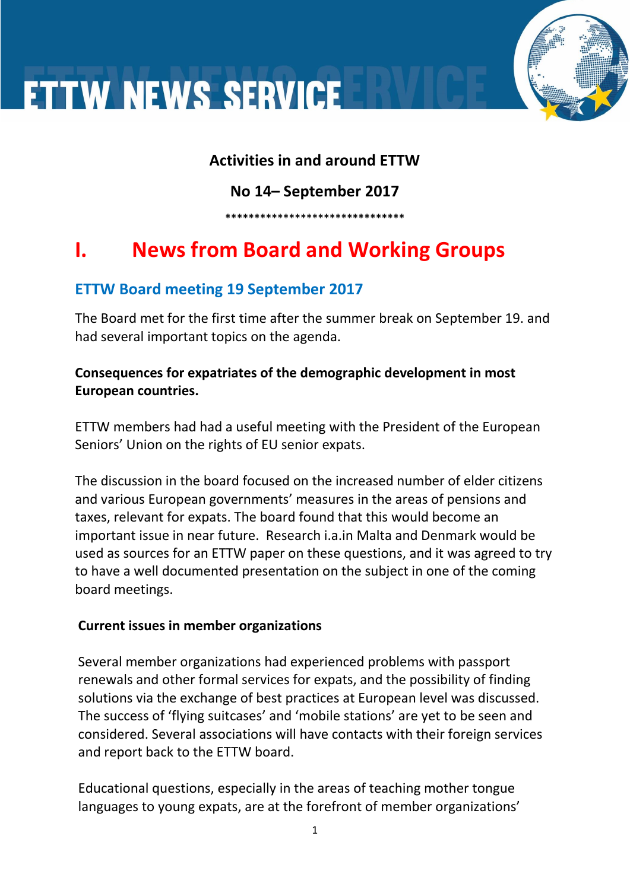#### **Activities in and around ETTW**

**No 14– September 2017**

**\*\*\*\*\*\*\*\*\*\*\*\*\*\*\*\*\*\*\*\*\*\*\*\*\*\*\*\*\*\*\***

### **I. News from Board and Working Groups**

#### **ETTW Board meeting 19 September 2017**

The Board met for the first time after the summer break on September 19. and had several important topics on the agenda.

#### **Consequences for expatriates of the demographic development in most European countries.**

ETTW members had had a useful meeting with the President of the European Seniors' Union on the rights of EU senior expats.

The discussion in the board focused on the increased number of elder citizens and various European governments' measures in the areas of pensions and taxes, relevant for expats. The board found that this would become an important issue in near future. Research i.a.in Malta and Denmark would be used as sources for an ETTW paper on these questions, and it was agreed to try to have a well documented presentation on the subject in one of the coming board meetings.

#### **Current issues in member organizations**

Several member organizations had experienced problems with passport renewals and other formal services for expats, and the possibility of finding solutions via the exchange of best practices at European level was discussed. The success of 'flying suitcases' and 'mobile stations' are yet to be seen and considered. Several associations will have contacts with their foreign services and report back to the ETTW board.

Educational questions, especially in the areas of teaching mother tongue languages to young expats, are at the forefront of member organizations'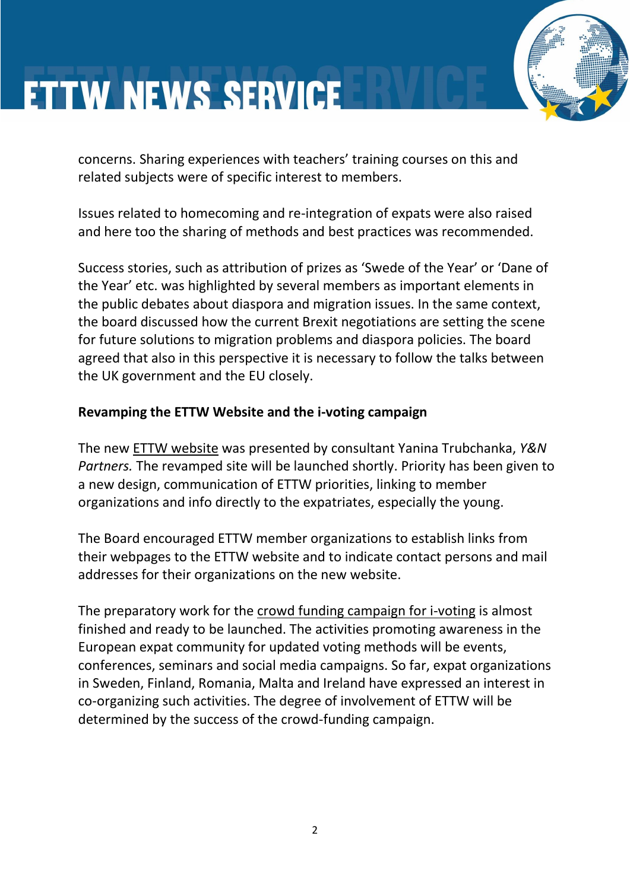concerns. Sharing experiences with teachers' training courses on this and related subjects were of specific interest to members.

Issues related to homecoming and re-integration of expats were also raised and here too the sharing of methods and best practices was recommended.

Success stories, such as attribution of prizes as 'Swede of the Year' or 'Dane of the Year' etc. was highlighted by several members as important elements in the public debates about diaspora and migration issues. In the same context, the board discussed how the current Brexit negotiations are setting the scene for future solutions to migration problems and diaspora policies. The board agreed that also in this perspective it is necessary to follow the talks between the UK government and the EU closely.

#### **Revamping the ETTW Website and the i-voting campaign**

The new ETTW website was presented by consultant Yanina Trubchanka, *Y&N Partners.* The revamped site will be launched shortly. Priority has been given to a new design, communication of ETTW priorities, linking to member organizations and info directly to the expatriates, especially the young.

The Board encouraged ETTW member organizations to establish links from their webpages to the ETTW website and to indicate contact persons and mail addresses for their organizations on the new website.

The preparatory work for the crowd funding campaign for i-voting is almost finished and ready to be launched. The activities promoting awareness in the European expat community for updated voting methods will be events, conferences, seminars and social media campaigns. So far, expat organizations in Sweden, Finland, Romania, Malta and Ireland have expressed an interest in co-organizing such activities. The degree of involvement of ETTW will be determined by the success of the crowd-funding campaign.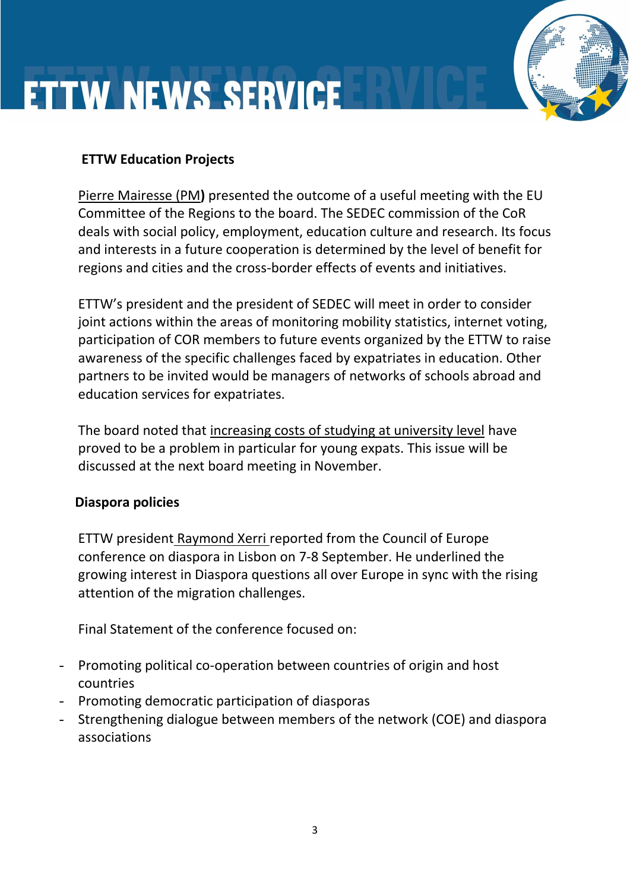#### **ETTW Education Projects**

Pierre Mairesse (PM**)** presented the outcome of a useful meeting with the EU Committee of the Regions to the board. The SEDEC commission of the CoR deals with social policy, employment, education culture and research. Its focus and interests in a future cooperation is determined by the level of benefit for regions and cities and the cross-border effects of events and initiatives.

ETTW's president and the president of SEDEC will meet in order to consider joint actions within the areas of monitoring mobility statistics, internet voting, participation of COR members to future events organized by the ETTW to raise awareness of the specific challenges faced by expatriates in education. Other partners to be invited would be managers of networks of schools abroad and education services for expatriates.

The board noted that increasing costs of studying at university level have proved to be a problem in particular for young expats. This issue will be discussed at the next board meeting in November.

#### **Diaspora policies**

ETTW president Raymond Xerri reported from the Council of Europe conference on diaspora in Lisbon on 7-8 September. He underlined the growing interest in Diaspora questions all over Europe in sync with the rising attention of the migration challenges.

Final Statement of the conference focused on:

- Promoting political co-operation between countries of origin and host countries
- Promoting democratic participation of diasporas
- Strengthening dialogue between members of the network (COE) and diaspora associations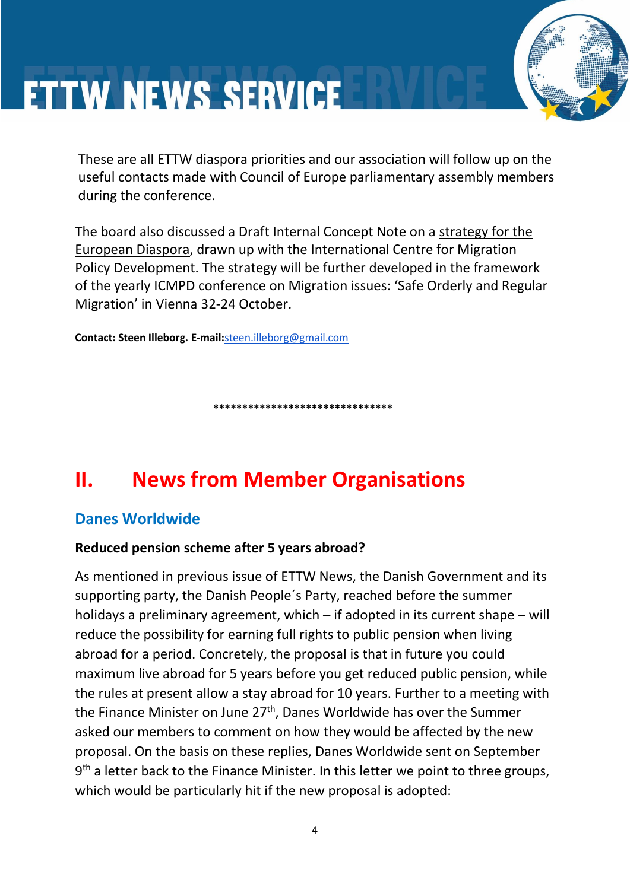These are all ETTW diaspora priorities and our association will follow up on the useful contacts made with Council of Europe parliamentary assembly members during the conference.

The board also discussed a Draft Internal Concept Note on a strategy for the European Diaspora, drawn up with the International Centre for Migration Policy Development. The strategy will be further developed in the framework of the yearly ICMPD conference on Migration issues: 'Safe Orderly and Regular Migration' in Vienna 32-24 October.

**Contact: Steen Illeborg. E-mail:**[steen.illeborg@gmail.com](mailto:steen.illeborg@gmail.com)

**\*\*\*\*\*\*\*\*\*\*\*\*\*\*\*\*\*\*\*\*\*\*\*\*\*\*\*\*\*\*\***

### **II. News from Member Organisations**

#### **Danes Worldwide**

#### **Reduced pension scheme after 5 years abroad?**

As mentioned in previous issue of ETTW News, the Danish Government and its supporting party, the Danish People´s Party, reached before the summer holidays a preliminary agreement, which – if adopted in its current shape – will reduce the possibility for earning full rights to public pension when living abroad for a period. Concretely, the proposal is that in future you could maximum live abroad for 5 years before you get reduced public pension, while the rules at present allow a stay abroad for 10 years. Further to a meeting with the Finance Minister on June 27<sup>th</sup>, Danes Worldwide has over the Summer asked our members to comment on how they would be affected by the new proposal. On the basis on these replies, Danes Worldwide sent on September 9<sup>th</sup> a letter back to the Finance Minister. In this letter we point to three groups, which would be particularly hit if the new proposal is adopted: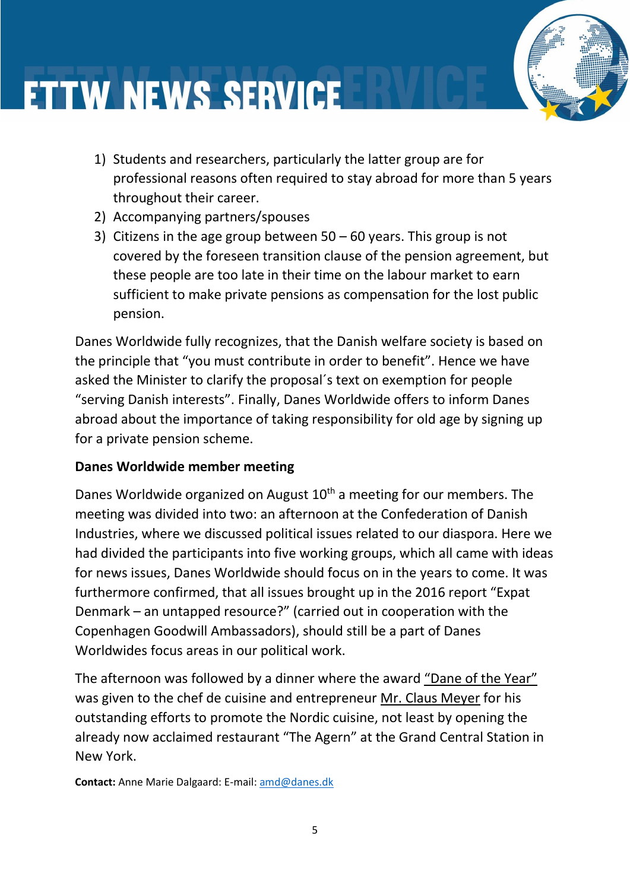- 1) Students and researchers, particularly the latter group are for professional reasons often required to stay abroad for more than 5 years throughout their career.
- 2) Accompanying partners/spouses
- 3) Citizens in the age group between  $50 60$  years. This group is not covered by the foreseen transition clause of the pension agreement, but these people are too late in their time on the labour market to earn sufficient to make private pensions as compensation for the lost public pension.

Danes Worldwide fully recognizes, that the Danish welfare society is based on the principle that "you must contribute in order to benefit". Hence we have asked the Minister to clarify the proposal´s text on exemption for people "serving Danish interests". Finally, Danes Worldwide offers to inform Danes abroad about the importance of taking responsibility for old age by signing up for a private pension scheme.

#### **Danes Worldwide member meeting**

Danes Worldwide organized on August  $10<sup>th</sup>$  a meeting for our members. The meeting was divided into two: an afternoon at the Confederation of Danish Industries, where we discussed political issues related to our diaspora. Here we had divided the participants into five working groups, which all came with ideas for news issues, Danes Worldwide should focus on in the years to come. It was furthermore confirmed, that all issues brought up in the 2016 report "Expat Denmark – an untapped resource?" (carried out in cooperation with the Copenhagen Goodwill Ambassadors), should still be a part of Danes Worldwides focus areas in our political work.

The afternoon was followed by a dinner where the award "Dane of the Year" was given to the chef de cuisine and entrepreneur Mr. Claus Meyer for his outstanding efforts to promote the Nordic cuisine, not least by opening the already now acclaimed restaurant "The Agern" at the Grand Central Station in New York.

**Contact:** Anne Marie Dalgaard: E-mail: [amd@danes.dk](mailto:amd@danes.dk)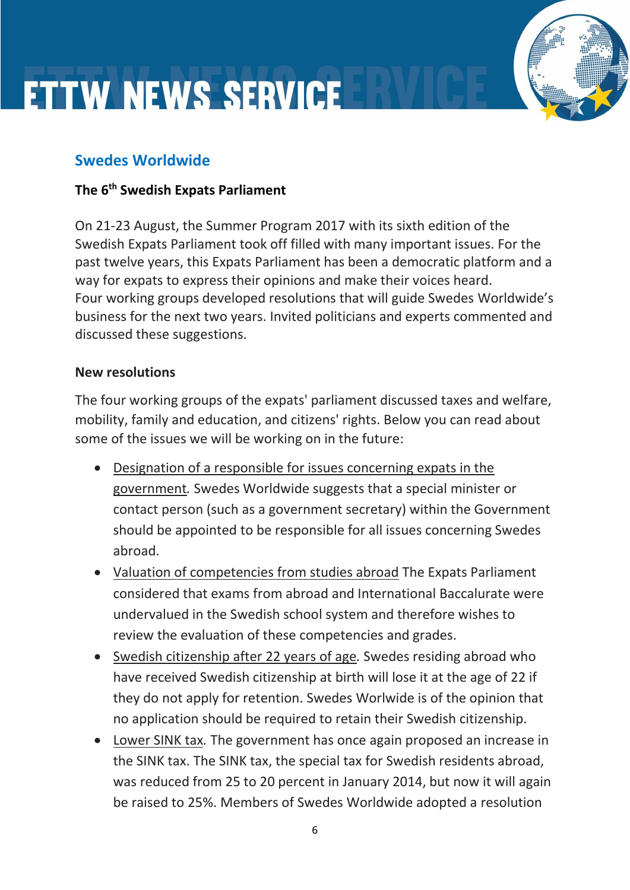#### **Swedes Worldwide**

#### **The 6th Swedish Expats Parliament**

On 21-23 August, the Summer Program 2017 with its sixth edition of the Swedish Expats Parliament took off filled with many important issues. For the past twelve years, this Expats Parliament has been a democratic platform and a way for expats to express their opinions and make their voices heard. Four working groups developed resolutions that will guide Swedes Worldwide's business for the next two years. Invited politicians and experts commented and discussed these suggestions.

#### **New resolutions**

The four working groups of the expats' parliament discussed taxes and welfare, mobility, family and education, and citizens' rights. Below you can read about some of the issues we will be working on in the future:

- Designation of a responsible for issues concerning expats in the government*.* Swedes Worldwide suggests that a special minister or contact person (such as a government secretary) within the Government should be appointed to be responsible for all issues concerning Swedes abroad.
- Valuation of competencies from studies abroad The Expats Parliament considered that exams from abroad and International Baccalurate were undervalued in the Swedish school system and therefore wishes to review the evaluation of these competencies and grades.
- Swedish citizenship after 22 years of age*.* Swedes residing abroad who have received Swedish citizenship at birth will lose it at the age of 22 if they do not apply for retention. Swedes Worlwide is of the opinion that no application should be required to retain their Swedish citizenship.
- Lower SINK tax*.* The government has once again proposed an increase in the SINK tax. The SINK tax, the special tax for Swedish residents abroad, was reduced from 25 to 20 percent in January 2014, but now it will again be raised to 25%. Members of Swedes Worldwide adopted a resolution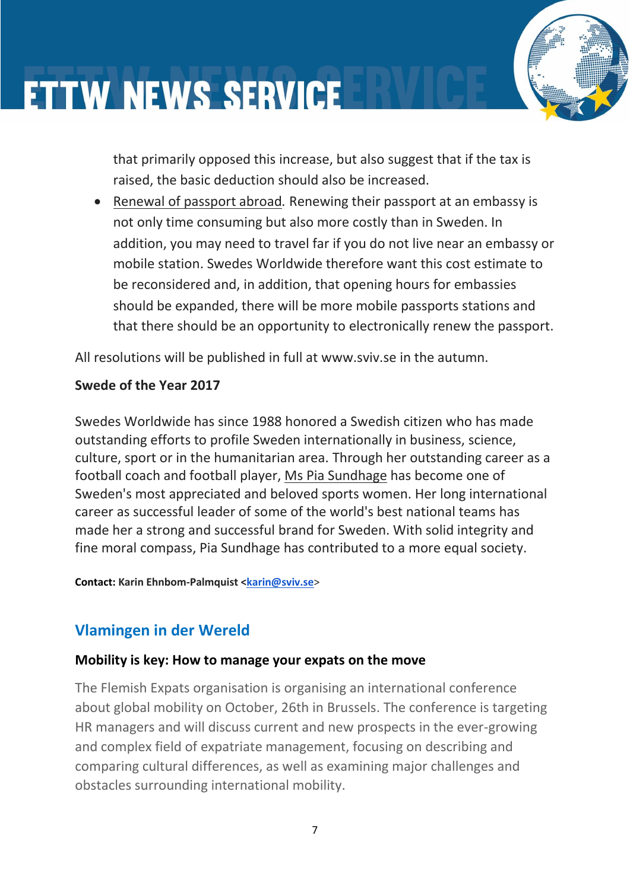that primarily opposed this increase, but also suggest that if the tax is raised, the basic deduction should also be increased.

• Renewal of passport abroad*.* Renewing their passport at an embassy is not only time consuming but also more costly than in Sweden. In addition, you may need to travel far if you do not live near an embassy or mobile station. Swedes Worldwide therefore want this cost estimate to be reconsidered and, in addition, that opening hours for embassies should be expanded, there will be more mobile passports stations and that there should be an opportunity to electronically renew the passport.

All resolutions will be published in full at www.sviv.se in the autumn.

#### **Swede of the Year 2017**

Swedes Worldwide has since 1988 honored a Swedish citizen who has made outstanding efforts to profile Sweden internationally in business, science, culture, sport or in the humanitarian area. Through her outstanding career as a football coach and football player, Ms Pia Sundhage has become one of Sweden's most appreciated and beloved sports women. Her long international career as successful leader of some of the world's best national teams has made her a strong and successful brand for Sweden. With solid integrity and fine moral compass, Pia Sundhage has contributed to a more equal society.

**Contact: Karin Ehnbom-Palmquist [<karin@sviv.se](mailto:karin@sviv.se)**>

#### **Vlamingen in der Wereld**

#### **Mobility is key: How to manage your expats on the move**

The Flemish Expats organisation is organising an international conference about global mobility on October, 26th in Brussels. The conference is targeting HR managers and will discuss current and new prospects in the ever-growing and complex field of expatriate management, focusing on describing and comparing cultural differences, as well as examining major challenges and obstacles surrounding international mobility.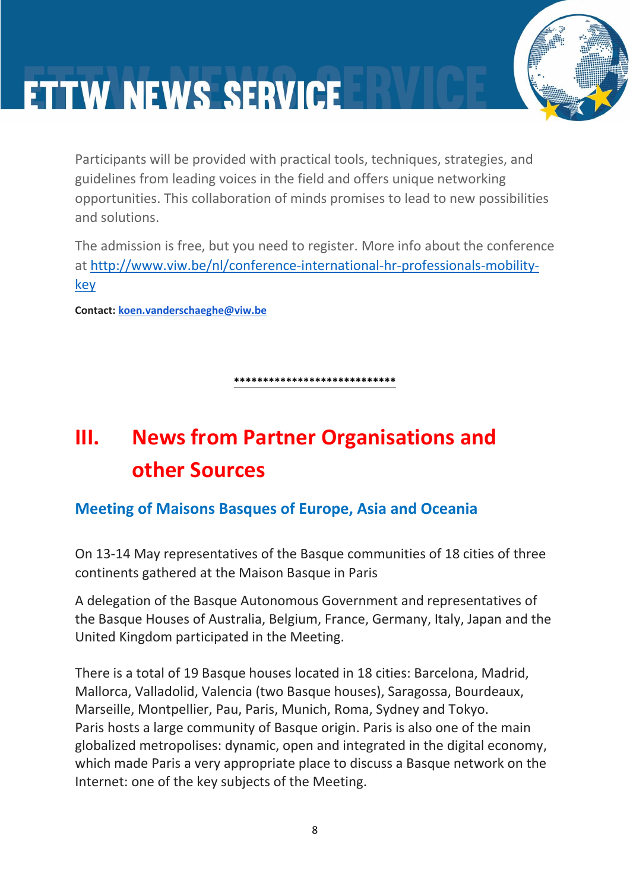

Participants will be provided with practical tools, techniques, strategies, and guidelines from leading voices in the field and offers unique networking opportunities. This collaboration of minds promises to lead to new possibilities and solutions.

The admission is free, but you need to register. More info about the conference at [http://www.viw.be/nl/conference-international-hr-professionals-mobility](http://www.viw.be/nl/conference-international-hr-professionals-mobility-key)[key](http://www.viw.be/nl/conference-international-hr-professionals-mobility-key)

**Contact: [koen.vanderschaeghe@viw.be](mailto:koen.vanderschaeghe@viw.be)**

**\*\*\*\*\*\*\*\*\*\*\*\*\*\*\*\*\*\*\*\*\*\*\*\*\*\*\*\***

### **III. News from Partner Organisations and other Sources**

#### **Meeting of Maisons Basques of Europe, Asia and Oceania**

On 13-14 May representatives of the Basque communities of 18 cities of three continents gathered at the Maison Basque in Paris

A delegation of the Basque Autonomous Government and representatives of the Basque Houses of Australia, Belgium, France, Germany, Italy, Japan and the United Kingdom participated in the Meeting.

There is a total of 19 Basque houses located in 18 cities: Barcelona, Madrid, Mallorca, Valladolid, Valencia (two Basque houses), Saragossa, Bourdeaux, Marseille, Montpellier, Pau, Paris, Munich, Roma, Sydney and Tokyo. Paris hosts a large community of Basque origin. Paris is also one of the main globalized metropolises: dynamic, open and integrated in the digital economy, which made Paris a very appropriate place to discuss a Basque network on the Internet: one of the key subjects of the Meeting.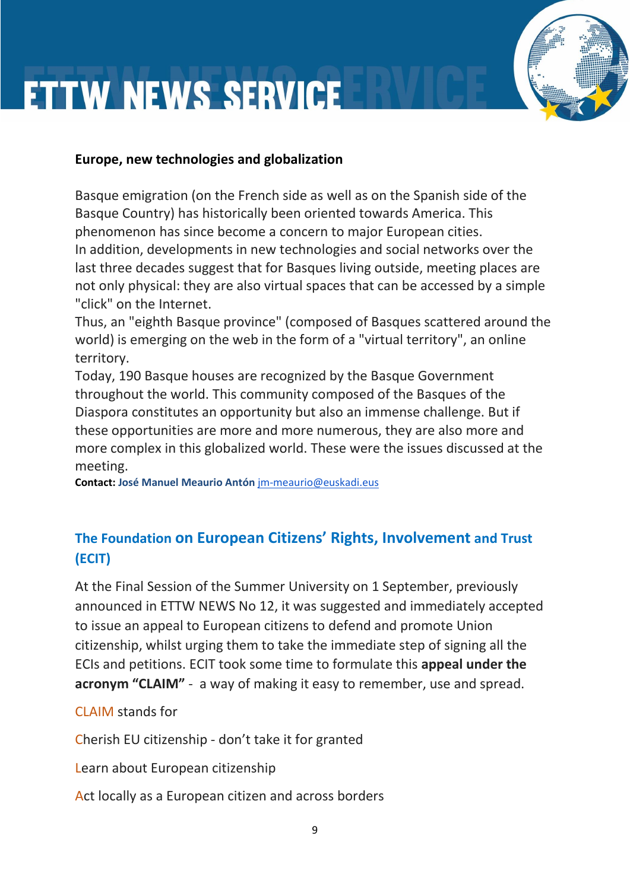#### **Europe, new technologies and globalization**

Basque emigration (on the French side as well as on the Spanish side of the Basque Country) has historically been oriented towards America. This phenomenon has since become a concern to major European cities. In addition, developments in new technologies and social networks over the last three decades suggest that for Basques living outside, meeting places are not only physical: they are also virtual spaces that can be accessed by a simple "click" on the Internet.

Thus, an "eighth Basque province" (composed of Basques scattered around the world) is emerging on the web in the form of a "virtual territory", an online territory.

Today, 190 Basque houses are recognized by the Basque Government throughout the world. This community composed of the Basques of the Diaspora constitutes an opportunity but also an immense challenge. But if these opportunities are more and more numerous, they are also more and more complex in this globalized world. These were the issues discussed at the meeting.

**Contact: José Manuel Meaurio Antón** [jm-meaurio@euskadi.eus](mailto:jm-meaurio@euskadi.eus)

#### **The Foundation on European Citizens' Rights, Involvement and Trust (ECIT)**

At the Final Session of the Summer University on 1 September, previously announced in ETTW NEWS No 12, it was suggested and immediately accepted to issue an appeal to European citizens to defend and promote Union citizenship, whilst urging them to take the immediate step of signing all the ECIs and petitions. ECIT took some time to formulate this **appeal under the acronym "CLAIM"** - a way of making it easy to remember, use and spread.

#### CLAIM stands for

Cherish EU citizenship - don't take it for granted

Learn about European citizenship

Act locally as a European citizen and across borders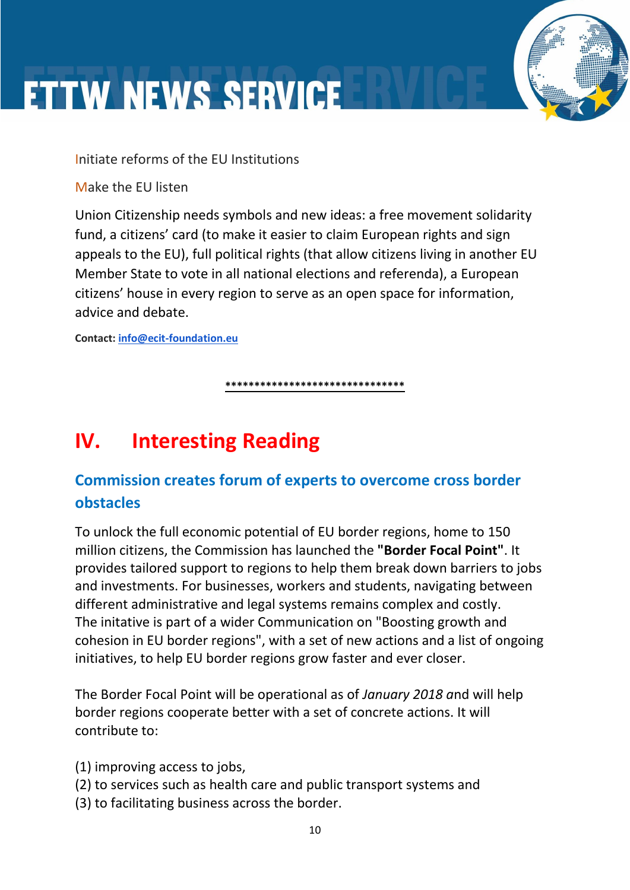Initiate reforms of the EU Institutions

Make the EU listen

Union Citizenship needs symbols and new ideas: a free movement solidarity fund, a citizens' card (to make it easier to claim European rights and sign appeals to the EU), full political rights (that allow citizens living in another EU Member State to vote in all national elections and referenda), a European citizens' house in every region to serve as an open space for information, advice and debate.

**Contact: [info@ecit-foundation.eu](mailto:info@ecit-foundation.eu)**

**\*\*\*\*\*\*\*\*\*\*\*\*\*\*\*\*\*\*\*\*\*\*\*\*\*\*\*\*\*\*\***

### **IV. Interesting Reading**

#### **Commission creates forum of experts to overcome cross border obstacles**

To unlock the full economic potential of EU border regions, home to 150 million citizens, the Commission has launched the **"Border Focal Point"**. It provides tailored support to regions to help them break down barriers to jobs and investments. For businesses, workers and students, navigating between different administrative and legal systems remains complex and costly. The initative is part of a wider Communication on "Boosting growth and cohesion in EU border regions", with a set of new actions and a list of ongoing initiatives, to help EU border regions grow faster and ever closer.

The Border Focal Point will be operational as of *January 2018 a*nd will help border regions cooperate better with a set of concrete actions. It will contribute to:

- (1) improving access to jobs,
- (2) to services such as health care and public transport systems and
- (3) to facilitating business across the border.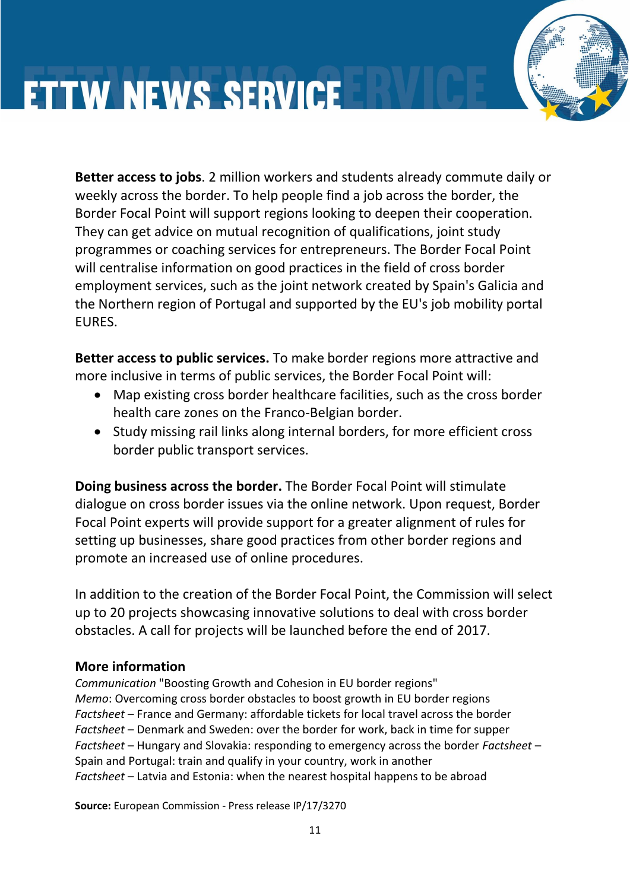**Better access to jobs**. 2 million workers and students already commute daily or weekly across the border. To help people find a job across the border, the Border Focal Point will support regions looking to deepen their cooperation. They can get advice on mutual recognition of qualifications, joint study programmes or coaching services for entrepreneurs. The Border Focal Point will centralise information on good practices in the field of cross border employment services, such as the joint network created by Spain's Galicia and the Northern region of Portugal and supported by the EU's job mobility portal EURES.

**Better access to public services.** To make border regions more attractive and more inclusive in terms of public services, the Border Focal Point will:

- Map existing cross border healthcare facilities, such as the cross border health care zones on the Franco-Belgian border.
- Study missing rail links along internal borders, for more efficient cross border public transport services.

**Doing business across the border.** The Border Focal Point will stimulate dialogue on cross border issues via the online network. Upon request, Border Focal Point experts will provide support for a greater alignment of rules for setting up businesses, share good practices from other border regions and promote an increased use of online procedures.

In addition to the creation of the Border Focal Point, the Commission will select up to 20 projects showcasing innovative solutions to deal with cross border obstacles. A call for projects will be launched before the end of 2017.

#### **More information**

*Communication* "Boosting Growth and Cohesion in EU border regions" *Memo*: Overcoming cross border obstacles to boost growth in EU border regions *Factsheet* – France and Germany: affordable tickets for local travel across the border *Factsheet* – Denmark and Sweden: over the border for work, back in time for supper *Factsheet* – Hungary and Slovakia: responding to emergency across the border *Factsheet* – Spain and Portugal: train and qualify in your country, work in another *Factsheet* – Latvia and Estonia: when the nearest hospital happens to be abroad

**Source:** European Commission - Press release IP/17/3270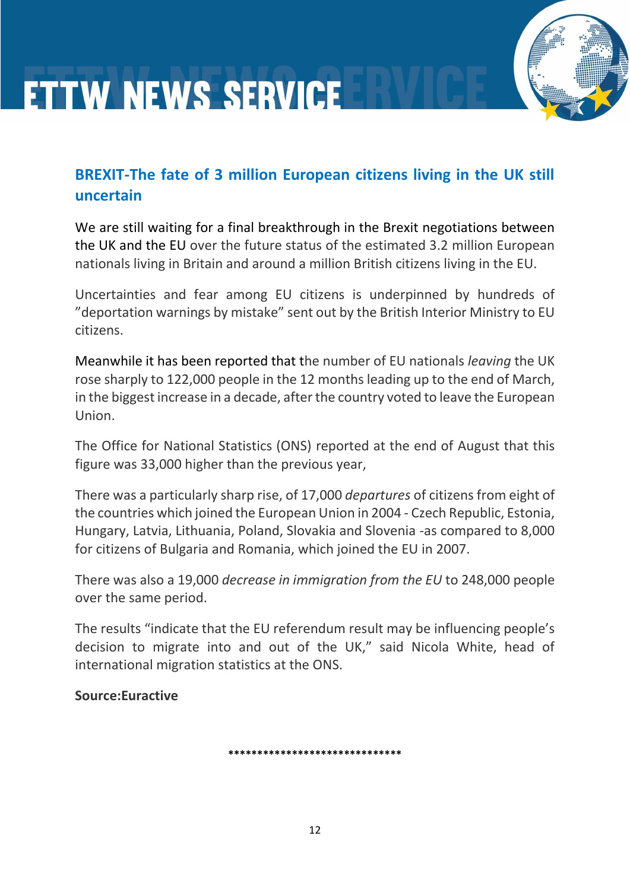#### **BREXIT-The fate of 3 million European citizens living in the UK still uncertain**

We are still waiting for a final breakthrough in the Brexit negotiations between the UK and the EU over the future status of the estimated 3.2 million European nationals living in Britain and around a million British citizens living in the EU.

Uncertainties and fear among EU citizens is underpinned by hundreds of "deportation warnings by mistake" sent out by the British Interior Ministry to EU citizens.

Meanwhile it has been reported that the number of EU nationals *leaving* the UK rose sharply to 122,000 people in the 12 months leading up to the end of March, in the biggest increase in a decade, after the country voted to leave the European Union.

The Office for National Statistics (ONS) reported at the end of August that this figure was 33,000 higher than the previous year,

There was a particularly sharp rise, of 17,000 *departures* of citizens from eight of the countries which joined the European Union in 2004 - Czech Republic, Estonia, Hungary, Latvia, Lithuania, Poland, Slovakia and Slovenia -as compared to 8,000 for citizens of Bulgaria and Romania, which joined the EU in 2007.

There was also a 19,000 *decrease in immigration from the EU* to 248,000 people over the same period.

The results "indicate that the EU referendum result may be influencing people's decision to migrate into and out of the UK," said Nicola White, head of international migration statistics at the ONS.

**Source:Euractive**

**\*\*\*\*\*\*\*\*\*\*\*\*\*\*\*\*\*\*\*\*\*\*\*\*\*\*\*\*\*\***